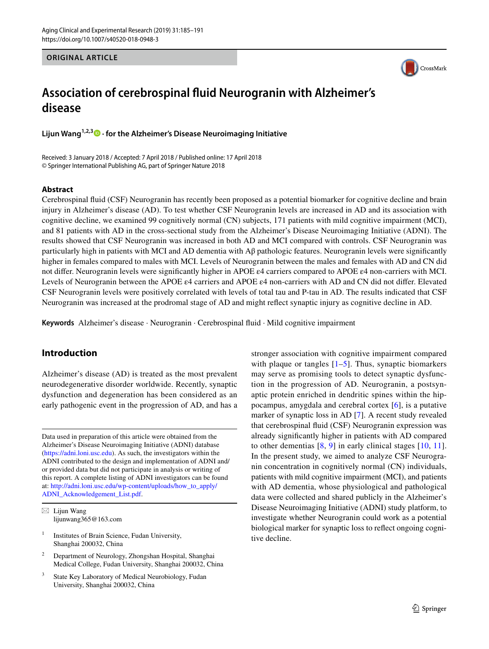#### **ORIGINAL ARTICLE**



# **Association of cerebrospinal fluid Neurogranin with Alzheimer's disease**

**Lijun Wang1,2,3 · for the Alzheimer's Disease Neuroimaging Initiative**

Received: 3 January 2018 / Accepted: 7 April 2018 / Published online: 17 April 2018 © Springer International Publishing AG, part of Springer Nature 2018

#### **Abstract**

Cerebrospinal fluid (CSF) Neurogranin has recently been proposed as a potential biomarker for cognitive decline and brain injury in Alzheimer's disease (AD). To test whether CSF Neurogranin levels are increased in AD and its association with cognitive decline, we examined 99 cognitively normal (CN) subjects, 171 patients with mild cognitive impairment (MCI), and 81 patients with AD in the cross-sectional study from the Alzheimer's Disease Neuroimaging Initiative (ADNI). The results showed that CSF Neurogranin was increased in both AD and MCI compared with controls. CSF Neurogranin was particularly high in patients with MCI and AD dementia with Aβ pathologic features. Neurogranin levels were significantly higher in females compared to males with MCI. Levels of Neurogranin between the males and females with AD and CN did not differ. Neurogranin levels were significantly higher in APOE ε4 carriers compared to APOE ε4 non-carriers with MCI. Levels of Neurogranin between the APOE ε4 carriers and APOE ε4 non-carriers with AD and CN did not differ. Elevated CSF Neurogranin levels were positively correlated with levels of total tau and P-tau in AD. The results indicated that CSF Neurogranin was increased at the prodromal stage of AD and might reflect synaptic injury as cognitive decline in AD.

**Keywords** Alzheimer's disease · Neurogranin · Cerebrospinal fluid · Mild cognitive impairment

# **Introduction**

Alzheimer's disease (AD) is treated as the most prevalent neurodegenerative disorder worldwide. Recently, synaptic dysfunction and degeneration has been considered as an early pathogenic event in the progression of AD, and has a

Data used in preparation of this article were obtained from the Alzheimer's Disease Neuroimaging Initiative (ADNI) database (<https://adni.loni.usc.edu>). As such, the investigators within the ADNI contributed to the design and implementation of ADNI and/ or provided data but did not participate in analysis or writing of this report. A complete listing of ADNI investigators can be found at: [http://adni.loni.usc.edu/wp-content/uploads/how\\_to\\_apply/](http://adni.loni.usc.edu/wp-content/uploads/how_to_apply/ADNI_Acknowledgement_List.pdf) [ADNI\\_Acknowledgement\\_List.pdf.](http://adni.loni.usc.edu/wp-content/uploads/how_to_apply/ADNI_Acknowledgement_List.pdf)

- $\boxtimes$  Lijun Wang lijunwang365@163.com
- <sup>1</sup> Institutes of Brain Science, Fudan University, Shanghai 200032, China
- <sup>2</sup> Department of Neurology, Zhongshan Hospital, Shanghai Medical College, Fudan University, Shanghai 200032, China
- <sup>3</sup> State Key Laboratory of Medical Neurobiology, Fudan University, Shanghai 200032, China

stronger association with cognitive impairment compared with plaque or tangles  $[1–5]$  $[1–5]$  $[1–5]$  $[1–5]$ . Thus, synaptic biomarkers may serve as promising tools to detect synaptic dysfunction in the progression of AD. Neurogranin, a postsynaptic protein enriched in dendritic spines within the hippocampus, amygdala and cerebral cortex [\[6](#page-5-2)], is a putative marker of synaptic loss in AD [[7\]](#page-5-3). A recent study revealed that cerebrospinal fluid (CSF) Neurogranin expression was already significantly higher in patients with AD compared to other dementias  $[8, 9]$  $[8, 9]$  $[8, 9]$  $[8, 9]$  in early clinical stages  $[10, 11]$  $[10, 11]$  $[10, 11]$  $[10, 11]$  $[10, 11]$ . In the present study, we aimed to analyze CSF Neurogranin concentration in cognitively normal (CN) individuals, patients with mild cognitive impairment (MCI), and patients with AD dementia, whose physiological and pathological data were collected and shared publicly in the Alzheimer's Disease Neuroimaging Initiative (ADNI) study platform, to investigate whether Neurogranin could work as a potential biological marker for synaptic loss to reflect ongoing cognitive decline.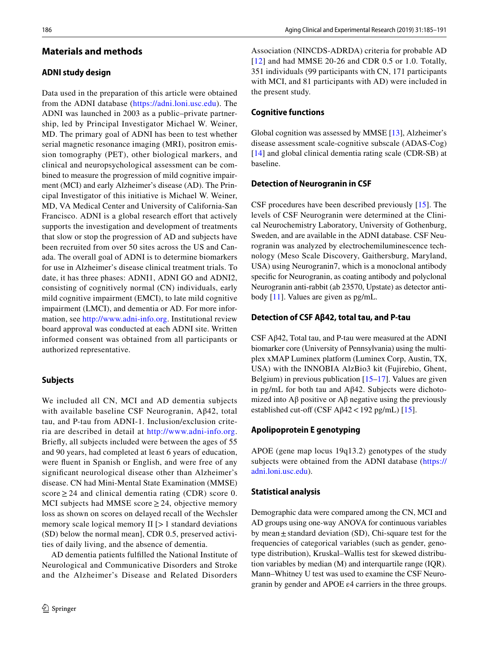# **Materials and methods**

## **ADNI study design**

Data used in the preparation of this article were obtained from the ADNI database ([https://adni.loni.usc.edu\)](https://adni.loni.usc.edu). The ADNI was launched in 2003 as a public–private partnership, led by Principal Investigator Michael W. Weiner, MD. The primary goal of ADNI has been to test whether serial magnetic resonance imaging (MRI), positron emission tomography (PET), other biological markers, and clinical and neuropsychological assessment can be combined to measure the progression of mild cognitive impairment (MCI) and early Alzheimer's disease (AD). The Principal Investigator of this initiative is Michael W. Weiner, MD, VA Medical Center and University of California-San Francisco. ADNI is a global research effort that actively supports the investigation and development of treatments that slow or stop the progression of AD and subjects have been recruited from over 50 sites across the US and Canada. The overall goal of ADNI is to determine biomarkers for use in Alzheimer's disease clinical treatment trials. To date, it has three phases: ADNI1, ADNI GO and ADNI2, consisting of cognitively normal (CN) individuals, early mild cognitive impairment (EMCI), to late mild cognitive impairment (LMCI), and dementia or AD. For more information, see [http://www.adni-info.org.](http://www.adni-info.org) Institutional review board approval was conducted at each ADNI site. Written informed consent was obtained from all participants or authorized representative.

# **Subjects**

We included all CN, MCI and AD dementia subjects with available baseline CSF Neurogranin, Aβ42, total tau, and P-tau from ADNI-1. Inclusion/exclusion criteria are described in detail at [http://www.adni-info.org.](http://www.adni-info.org) Briefly, all subjects included were between the ages of 55 and 90 years, had completed at least 6 years of education, were fluent in Spanish or English, and were free of any significant neurological disease other than Alzheimer's disease. CN had Mini-Mental State Examination (MMSE) score  $\geq$  24 and clinical dementia rating (CDR) score 0. MCI subjects had MMSE score  $\geq$  24, objective memory loss as shown on scores on delayed recall of the Wechsler memory scale logical memory  $II$  [ $>1$  standard deviations (SD) below the normal mean], CDR 0.5, preserved activities of daily living, and the absence of dementia.

AD dementia patients fulfilled the National Institute of Neurological and Communicative Disorders and Stroke and the Alzheimer's Disease and Related Disorders

Association (NINCDS-ADRDA) criteria for probable AD [[12](#page-5-8)] and had MMSE 20-26 and CDR 0.5 or 1.0. Totally, 351 individuals (99 participants with CN, 171 participants with MCI, and 81 participants with AD) were included in the present study.

# **Cognitive functions**

Global cognition was assessed by MMSE [\[13](#page-5-9)], Alzheimer's disease assessment scale-cognitive subscale (ADAS-Cog) [[14\]](#page-5-10) and global clinical dementia rating scale (CDR-SB) at baseline.

# **Detection of Neurogranin in CSF**

CSF procedures have been described previously [\[15\]](#page-5-11). The levels of CSF Neurogranin were determined at the Clinical Neurochemistry Laboratory, University of Gothenburg, Sweden, and are available in the ADNI database. CSF Neurogranin was analyzed by electrochemiluminescence technology (Meso Scale Discovery, Gaithersburg, Maryland, USA) using Neurogranin7, which is a monoclonal antibody specific for Neurogranin, as coating antibody and polyclonal Neurogranin anti-rabbit (ab 23570, Upstate) as detector antibody [\[11](#page-5-7)]. Values are given as pg/mL.

#### **Detection of CSF Aβ42, total tau, and P‑tau**

CSF Aβ42, Total tau, and P-tau were measured at the ADNI biomarker core (University of Pennsylvania) using the multiplex xMAP Luminex platform (Luminex Corp, Austin, TX, USA) with the INNOBIA AlzBio3 kit (Fujirebio, Ghent, Belgium) in previous publication [[15–](#page-5-11)[17\]](#page-5-12). Values are given in pg/mL for both tau and Aβ42. Subjects were dichotomized into  $\Lambda$ β positive or  $\Lambda$ β negative using the previously established cut-off (CSF A $\beta$ 42 < 192 pg/mL) [\[15](#page-5-11)].

# **Apolipoprotein E genotyping**

APOE (gene map locus 19q13.2) genotypes of the study subjects were obtained from the ADNI database [\(https://](https://adni.loni.usc.edu) [adni.loni.usc.edu](https://adni.loni.usc.edu)).

# **Statistical analysis**

Demographic data were compared among the CN, MCI and AD groups using one-way ANOVA for continuous variables by mean $\pm$  standard deviation (SD), Chi-square test for the frequencies of categorical variables (such as gender, genotype distribution), Kruskal–Wallis test for skewed distribution variables by median (M) and interquartile range (IQR). Mann–Whitney U test was used to examine the CSF Neurogranin by gender and APOE ε4 carriers in the three groups.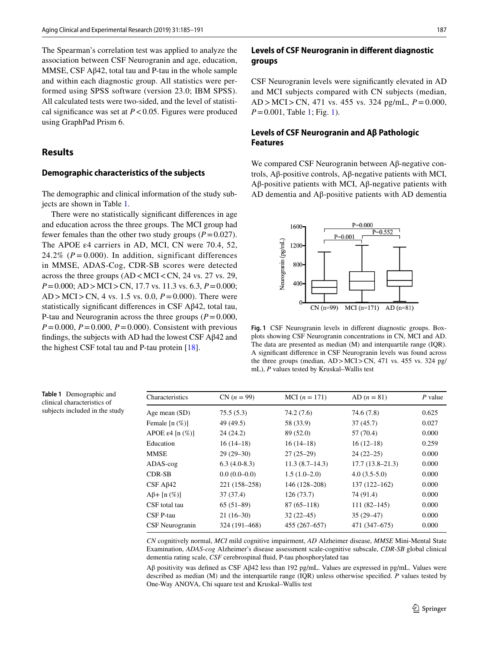The Spearman's correlation test was applied to analyze the association between CSF Neurogranin and age, education, MMSE, CSF Aβ42, total tau and P-tau in the whole sample and within each diagnostic group. All statistics were performed using SPSS software (version 23.0; IBM SPSS). All calculated tests were two-sided, and the level of statistical significance was set at  $P < 0.05$ . Figures were produced using GraphPad Prism 6.

# **Results**

#### **Demographic characteristics of the subjects**

The demographic and clinical information of the study subjects are shown in Table [1.](#page-2-0)

There were no statistically significant differences in age and education across the three groups. The MCI group had fewer females than the other two study groups  $(P=0.027)$ . The APOE  $\varepsilon$ 4 carriers in AD, MCI, CN were 70.4, 52, 24.2%  $(P = 0.000)$ . In addition, significant differences in MMSE, ADAS-Cog, CDR-SB scores were detected across the three groups  $(AD < MCI < CN, 24$  vs. 27 vs. 29, *P*=0.000; AD>MCI>CN, 17.7 vs. 11.3 vs. 6.3, *P*=0.000; AD > MCI>CN, 4 vs. 1.5 vs. 0.0, *P*=0.000). There were statistically significant differences in CSF Aβ42, total tau, P-tau and Neurogranin across the three groups  $(P=0.000,$  $P=0.000, P=0.000, P=0.000$ . Consistent with previous findings, the subjects with AD had the lowest CSF Aβ42 and the highest CSF total tau and P-tau protein [\[18](#page-5-13)].

# **Levels of CSF Neurogranin in different diagnostic groups**

CSF Neurogranin levels were significantly elevated in AD and MCI subjects compared with CN subjects (median, AD > MCI>CN, 471 vs. 455 vs. 324 pg/mL, *P*=0.000, *P*=0.001, Table [1;](#page-2-0) Fig. [1](#page-2-1)).

# **Levels of CSF Neurogranin and Aβ Pathologic Features**

We compared CSF Neurogranin between Aβ-negative controls, Aβ-positive controls, Aβ-negative patients with MCI, Aβ-positive patients with MCI, Aβ-negative patients with AD dementia and Aβ-positive patients with AD dementia



<span id="page-2-1"></span>**Fig. 1** CSF Neurogranin levels in different diagnostic groups. Boxplots showing CSF Neurogranin concentrations in CN, MCI and AD. The data are presented as median (M) and interquartile range (IQR). A significant difference in CSF Neurogranin levels was found across the three groups (median, AD>MCI>CN, 471 vs. 455 vs. 324 pg/ mL), *P* values tested by Kruskal–Wallis test

| Characteristics                  | $CN (n = 99)$  | MCI $(n = 171)$ | $AD (n = 81)$       | $P$ value |
|----------------------------------|----------------|-----------------|---------------------|-----------|
| Age mean (SD)                    | 75.5(5.3)      | 74.2 (7.6)      | 74.6 (7.8)          | 0.625     |
| Female $[n (\%)]$                | 49 (49.5)      | 58 (33.9)       | 37(45.7)            | 0.027     |
| APOE $\varepsilon$ 4 [n $(\%)$ ] | 24(24.2)       | 89 (52.0)       | 57 (70.4)           | 0.000     |
| Education                        | $16(14-18)$    | $16(14-18)$     | $16(12-18)$         | 0.259     |
| MMSE                             | $29(29-30)$    | $27(25-29)$     | $24(22-25)$         | 0.000     |
| ADAS-cog                         | $6.3(4.0-8.3)$ | 11.3(8.7–14.3)  | $17.7(13.8 - 21.3)$ | 0.000     |
| <b>CDR-SB</b>                    | $0.0(0.0-0.0)$ | $1.5(1.0-2.0)$  | $4.0(3.5-5.0)$      | 0.000     |
| $CSF A\beta42$                   | 221 (158-258)  | 146 (128-208)   | $137(122 - 162)$    | 0.000     |
| $A\beta + [n(\%)]$               | 37(37.4)       | 126(73.7)       | 74 (91.4)           | 0.000     |
| CSF total tau                    | $65(51-89)$    | $87(65 - 118)$  | $111(82 - 145)$     | 0.000     |
| CSF P-tau                        | $21(16-30)$    | $32(22-45)$     | $35(29-47)$         | 0.000     |
| CSF Neurogranin                  | 324 (191-468)  | $455(267-657)$  | 471 (347–675)       | 0.000     |

*CN* cognitively normal, *MCI* mild cognitive impairment, *AD* Alzheimer disease, *MMSE* Mini-Mental State Examination, *ADAS*-*cog* Alzheimer's disease assessment scale-cognitive subscale, *CDR*-*SB* global clinical dementia rating scale, *CSF* cerebrospinal fluid, P-tau phosphorylated tau

Aβ positivity was defined as CSF Aβ42 less than 192 pg/mL. Values are expressed in pg/mL. Values were described as median (M) and the interquartile range (IQR) unless otherwise specified. *P* values tested by One-Way ANOVA, Chi square test and Kruskal–Wallis test

<span id="page-2-0"></span>**Table 1** Demographic and clinical characteristics of subjects included in the study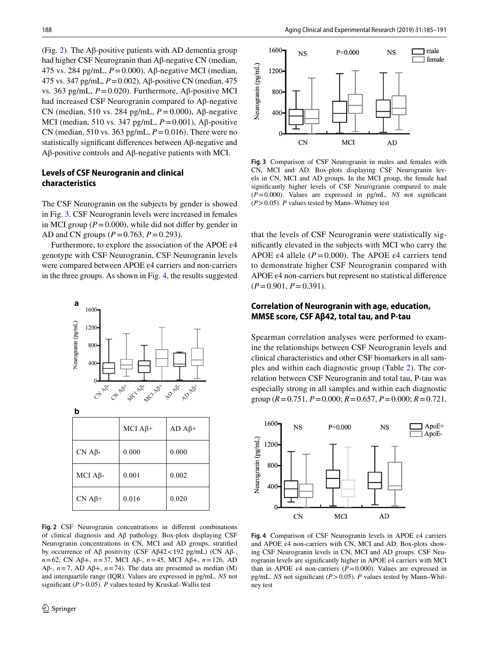(Fig. [2\)](#page-3-0). The Aβ-positive patients with AD dementia group had higher CSF Neurogranin than Aβ-negative CN (median, 475 vs. 284 pg/mL, *P*=0.000), Aβ-negative MCI (median, 475 vs. 347 pg/mL, *P*=0.002), Aβ-positive CN (median, 475 vs. 363 pg/mL, *P*=0.020). Furthermore, Aβ-positive MCI had increased CSF Neurogranin compared to Aβ-negative CN (median, 510 vs. 284 pg/mL, *P*=0.000), Aβ-negative MCI (median, 510 vs. 347 pg/mL, *P*=0.001), Aβ-positive CN (median, 510 vs. 363 pg/mL, *P*=0.016). There were no statistically significant differences between Aβ-negative and Aβ-positive controls and Aβ-negative patients with MCI.

# **Levels of CSF Neurogranin and clinical characteristics**

The CSF Neurogranin on the subjects by gender is showed in Fig. [3](#page-3-1). CSF Neurogranin levels were increased in females in MCI group  $(P=0.000)$ , while did not differ by gender in AD and CN groups (*P*=0.763, *P*=0.293).

Furthermore, to explore the association of the APOE ε4 genotype with CSF Neurogranin, CSF Neurogranin levels were compared between APOE ε4 carriers and non-carriers in the three groups. As shown in Fig. [4](#page-3-2), the results suggested



<span id="page-3-0"></span>**Fig. 2** CSF Neurogranin concentrations in different combinations of clinical diagnosis and Aβ pathology. Box-plots displaying CSF Neurogranin concentrations in CN, MCI and AD groups, stratified by occurrence of Aβ positivity (CSF Aβ42<192 pg/mL) (CN Aβ-, *n*=62, CN Aβ+, *n*=37, MCI Aβ-, *n*=45, MCI Aβ+, *n*=126, AD Aβ-,  $n=7$ , AD Aβ+,  $n=74$ ). The data are presented as median (M) and interquartile range (IQR). Values are expressed in pg/mL. *NS* not significant (*P*>0.05). *P* values tested by Kruskal–Wallis test



<span id="page-3-1"></span>**Fig. 3** Comparison of CSF Neurogranin in males and females with CN, MCI and AD. Box-plots displaying CSF Neurogranin levels in CN, MCI and AD groups. In the MCI group, the female had significantly higher levels of CSF Neurogranin compared to male (*P*=0.000). Values are expressed in pg/mL. *NS* not significant  $(P>0.05)$ . *P* values tested by Mann–Whitney test

that the levels of CSF Neurogranin were statistically significantly elevated in the subjects with MCI who carry the APOE  $\varepsilon$ 4 allele ( $P = 0.000$ ). The APOE  $\varepsilon$ 4 carriers tend to demonstrate higher CSF Neurogranin compared with APOE ε4 non-carriers but represent no statistical difference (*P*=0.901, *P*=0.391).

### **Correlation of Neurogranin with age, education, MMSE score, CSF Aβ42, total tau, and P‑tau**

Spearman correlation analyses were performed to examine the relationships between CSF Neurogranin levels and clinical characteristics and other CSF biomarkers in all samples and within each diagnostic group (Table [2](#page-4-0)). The correlation between CSF Neurogranin and total tau, P-tau was especially strong in all samples and within each diagnostic group (*R*=0.751, *P*=0.000; *R*=0.657, *P*=0.000; *R*=0.721,



<span id="page-3-2"></span>**Fig. 4** Comparison of CSF Neurogranin levels in APOE ε4 carriers and APOE ε4 non-carriers with CN, MCI and AD. Box-plots showing CSF Neurogranin levels in CN, MCI and AD groups. CSF Neurogranin levels are significantly higher in APOE ε4 carriers with MCI than in APOE  $\varepsilon$ 4 non-carriers ( $P = 0.000$ ). Values are expressed in pg/mL. *NS* not significant (*P*>0.05). *P* values tested by Mann–Whitney test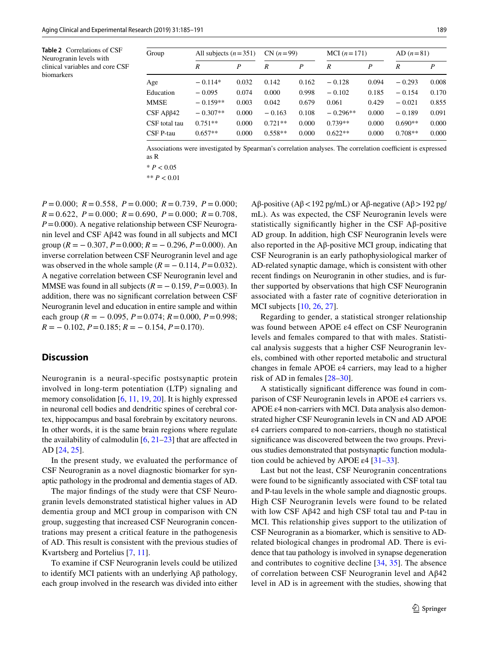<span id="page-4-0"></span>**Table 2** Correlations of CSF Neurogranin levels with clinical variables and core CSF biomarkers

| Group                      | All subjects $(n=351)$ |       | $CN (n=99)$ |       | MCI $(n=171)$ |       | $AD (n=81)$ |       |
|----------------------------|------------------------|-------|-------------|-------|---------------|-------|-------------|-------|
|                            | R                      | P     | R           | P     | R             | P     | R           | P     |
| Age                        | $-0.114*$              | 0.032 | 0.142       | 0.162 | $-0.128$      | 0.094 | $-0.293$    | 0.008 |
| Education                  | $-0.095$               | 0.074 | 0.000       | 0.998 | $-0.102$      | 0.185 | $-0.154$    | 0.170 |
| <b>MMSE</b>                | $-0.159**$             | 0.003 | 0.042       | 0.679 | 0.061         | 0.429 | $-0.021$    | 0.855 |
| $CSF$ A $\beta$ $\beta$ 42 | $-0.307**$             | 0.000 | $-0.163$    | 0.108 | $-0.296**$    | 0.000 | $-0.189$    | 0.091 |
| CSF total tau              | $0.751**$              | 0.000 | $0.721**$   | 0.000 | $0.739**$     | 0.000 | $0.690**$   | 0.000 |
| CSF P-tau                  | $0.657**$              | 0.000 | $0.558**$   | 0.000 | $0.622**$     | 0.000 | $0.708**$   | 0.000 |

Associations were investigated by Spearman's correlation analyses. The correlation coefficient is expressed as R

\*\* *P* < 0.01

*P* = 0.000; *R* = 0.558, *P* = 0.000; *R* = 0.739, *P* = 0.000; *R* = 0.622, *P* = 0.000; *R* = 0.690, *P* = 0.000; *R* = 0.708, *P*=0.000). A negative relationship between CSF Neurogranin level and CSF Aβ42 was found in all subjects and MCI group ( $R = -0.307$ ,  $P = 0.000$ ;  $R = -0.296$ ,  $P = 0.000$ ). An inverse correlation between CSF Neurogranin level and age was observed in the whole sample  $(R = -0.114, P = 0.032)$ . A negative correlation between CSF Neurogranin level and MMSE was found in all subjects  $(R = -0.159, P = 0.003)$ . In addition, there was no significant correlation between CSF Neurogranin level and education in entire sample and within each group ( $R = -0.095$ ,  $P = 0.074$ ;  $R = 0.000$ ,  $P = 0.998$ ;  $R = -0.102$ ,  $P = 0.185$ ;  $R = -0.154$ ,  $P = 0.170$ ).

# **Discussion**

Neurogranin is a neural-specific postsynaptic protein involved in long-term potentiation (LTP) signaling and memory consolidation [[6,](#page-5-2) [11,](#page-5-7) [19,](#page-6-0) [20](#page-6-1)]. It is highly expressed in neuronal cell bodies and dendritic spines of cerebral cortex, hippocampus and basal forebrain by excitatory neurons. In other words, it is the same brain regions where regulate the availability of calmodulin  $[6, 21-23]$  $[6, 21-23]$  $[6, 21-23]$  $[6, 21-23]$  that are affected in AD [\[24](#page-6-4), [25\]](#page-6-5).

In the present study, we evaluated the performance of CSF Neurogranin as a novel diagnostic biomarker for synaptic pathology in the prodromal and dementia stages of AD.

The major findings of the study were that CSF Neurogranin levels demonstrated statistical higher values in AD dementia group and MCI group in comparison with CN group, suggesting that increased CSF Neurogranin concentrations may present a critical feature in the pathogenesis of AD. This result is consistent with the previous studies of Kvartsberg and Portelius [\[7](#page-5-3), [11](#page-5-7)].

To examine if CSF Neurogranin levels could be utilized to identify MCI patients with an underlying Aβ pathology, each group involved in the research was divided into either Aβ-positive (Aβ < 192 pg/mL) or Aβ-negative (Aβ > 192 pg/ mL). As was expected, the CSF Neurogranin levels were statistically significantly higher in the CSF Aβ-positive AD group. In addition, high CSF Neurogranin levels were also reported in the A $\beta$ -positive MCI group, indicating that CSF Neurogranin is an early pathophysiological marker of AD-related synaptic damage, which is consistent with other recent findings on Neurogranin in other studies, and is further supported by observations that high CSF Neurogranin associated with a faster rate of cognitive deterioration in MCI subjects [[10](#page-5-6), [26](#page-6-6), [27](#page-6-7)].

Regarding to gender, a statistical stronger relationship was found between APOE ε4 effect on CSF Neurogranin levels and females compared to that with males. Statistical analysis suggests that a higher CSF Neurogranin levels, combined with other reported metabolic and structural changes in female APOE ε4 carriers, may lead to a higher risk of AD in females [[28](#page-6-8)[–30](#page-6-9)].

A statistically significant difference was found in comparison of CSF Neurogranin levels in APOE ε4 carriers vs. APOE ε4 non-carriers with MCI. Data analysis also demonstrated higher CSF Neurogranin levels in CN and AD APOE ε4 carriers compared to non-carriers, though no statistical significance was discovered between the two groups. Previous studies demonstrated that postsynaptic function modulation could be achieved by APOE  $\varepsilon$ 4 [\[31](#page-6-10)[–33\]](#page-6-11).

Last but not the least, CSF Neurogranin concentrations were found to be significantly associated with CSF total tau and P-tau levels in the whole sample and diagnostic groups. High CSF Neurogranin levels were found to be related with low CSF Aβ42 and high CSF total tau and P-tau in MCI. This relationship gives support to the utilization of CSF Neurogranin as a biomarker, which is sensitive to ADrelated biological changes in prodromal AD. There is evidence that tau pathology is involved in synapse degeneration and contributes to cognitive decline [[34](#page-6-12), [35\]](#page-6-13). The absence of correlation between CSF Neurogranin level and Aβ42 level in AD is in agreement with the studies, showing that

 $* P < 0.05$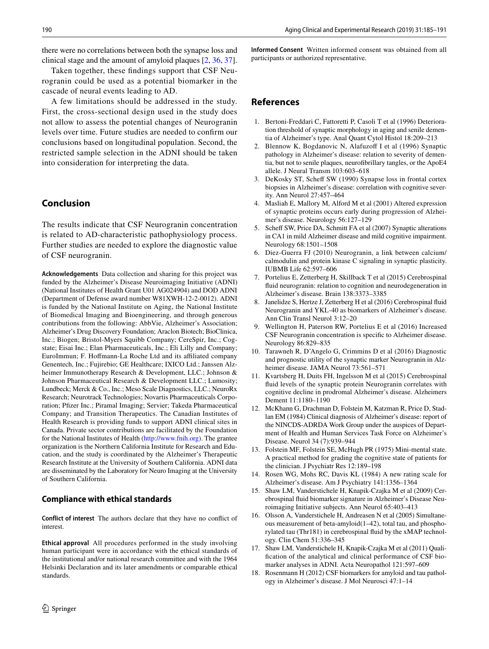there were no correlations between both the synapse loss and clinical stage and the amount of amyloid plaques [\[2,](#page-5-14) [36,](#page-6-14) [37](#page-6-15)].

Taken together, these findings support that CSF Neurogranin could be used as a potential biomarker in the cascade of neural events leading to AD.

A few limitations should be addressed in the study. First, the cross-sectional design used in the study does not allow to assess the potential changes of Neurogranin levels over time. Future studies are needed to confirm our conclusions based on longitudinal population. Second, the restricted sample selection in the ADNI should be taken into consideration for interpreting the data.

# **Conclusion**

The results indicate that CSF Neurogranin concentration is related to AD-characteristic pathophysiology process. Further studies are needed to explore the diagnostic value of CSF neurogranin.

**Acknowledgements** Data collection and sharing for this project was funded by the Alzheimer's Disease Neuroimaging Initiative (ADNI) (National Institutes of Health Grant U01 AG024904) and DOD ADNI (Department of Defense award number W81XWH-12-2-0012). ADNI is funded by the National Institute on Aging, the National Institute of Biomedical Imaging and Bioengineering, and through generous contributions from the following: AbbVie, Alzheimer's Association; Alzheimer's Drug Discovery Foundation; Araclon Biotech; BioClinica, Inc.; Biogen; Bristol-Myers Squibb Company; CereSpir, Inc.; Cogstate; Eisai Inc.; Elan Pharmaceuticals, Inc.; Eli Lilly and Company; EuroImmun; F. Hoffmann-La Roche Ltd and its affiliated company Genentech, Inc.; Fujirebio; GE Healthcare; IXICO Ltd.; Janssen Alzheimer Immunotherapy Research & Development, LLC.; Johnson & Johnson Pharmaceutical Research & Development LLC.; Lumosity; Lundbeck; Merck & Co., Inc.; Meso Scale Diagnostics, LLC.; NeuroRx Research; Neurotrack Technologies; Novartis Pharmaceuticals Corporation; Pfizer Inc.; Piramal Imaging; Servier; Takeda Pharmaceutical Company; and Transition Therapeutics. The Canadian Institutes of Health Research is providing funds to support ADNI clinical sites in Canada. Private sector contributions are facilitated by the Foundation for the National Institutes of Health [\(http://www.fnih.org](http://www.fnih.org)). The grantee organization is the Northern California Institute for Research and Education, and the study is coordinated by the Alzheimer's Therapeutic Research Institute at the University of Southern California. ADNI data are disseminated by the Laboratory for Neuro Imaging at the University of Southern California.

#### **Compliance with ethical standards**

**Conflict of interest** The authors declare that they have no conflict of interest.

**Ethical approval** All procedures performed in the study involving human participant were in accordance with the ethical standards of the institutional and/or national research committee and with the 1964 Helsinki Declaration and its later amendments or comparable ethical standards.

**Informed Consent** Written informed consent was obtained from all participants or authorized representative.

## **References**

- <span id="page-5-0"></span>1. Bertoni-Freddari C, Fattoretti P, Casoli T et al (1996) Deterioration threshold of synaptic morphology in aging and senile dementia of Alzheimer's type. Anal Quant Cytol Histol 18:209–213
- <span id="page-5-14"></span>2. Blennow K, Bogdanovic N, Alafuzoff I et al (1996) Synaptic pathology in Alzheimer's disease: relation to severity of dementia, but not to senile plaques, neurofibrillary tangles, or the ApoE4 allele. J Neural Transm 103:603–618
- 3. DeKosky ST, Scheff SW (1990) Synapse loss in frontal cortex biopsies in Alzheimer's disease: correlation with cognitive severity. Ann Neurol 27:457–464
- Masliah E, Mallory M, Alford M et al (2001) Altered expression of synaptic proteins occurs early during progression of Alzheimer's disease. Neurology 56:127–129
- <span id="page-5-1"></span>5. Scheff SW, Price DA, Schmitt FA et al (2007) Synaptic alterations in CA1 in mild Alzheimer disease and mild cognitive impairment. Neurology 68:1501–1508
- <span id="page-5-2"></span>6. Diez-Guerra FJ (2010) Neurogranin, a link between calcium/ calmodulin and protein kinase C signaling in synaptic plasticity. IUBMB Life 62:597–606
- <span id="page-5-3"></span>7. Portelius E, Zetterberg H, Skillback T et al (2015) Cerebrospinal fluid neurogranin: relation to cognition and neurodegeneration in Alzheimer's disease. Brain 138:3373–3385
- <span id="page-5-4"></span>8. Janelidze S, Hertze J, Zetterberg H et al (2016) Cerebrospinal fluid Neurogranin and YKL-40 as biomarkers of Alzheimer's disease. Ann Clin Transl Neurol 3:12–20
- <span id="page-5-5"></span>9. Wellington H, Paterson RW, Portelius E et al (2016) Increased CSF Neurogranin concentration is specific to Alzheimer disease. Neurology 86:829–835
- <span id="page-5-6"></span>10. Tarawneh R, D'Angelo G, Crimmins D et al (2016) Diagnostic and prognostic utility of the synaptic marker Neurogranin in Alzheimer disease. JAMA Neurol 73:561–571
- <span id="page-5-7"></span>11. Kvartsberg H, Duits FH, Ingelsson M et al (2015) Cerebrospinal fluid levels of the synaptic protein Neurogranin correlates with cognitive decline in prodromal Alzheimer's disease. Alzheimers Dement 11:1180–1190
- <span id="page-5-8"></span>12. McKhann G, Drachman D, Folstein M, Katzman R, Price D, Stadlan EM (1984) Clinical diagnosis of Alzheimer's disease: report of the NINCDS-ADRDA Work Group under the auspices of Department of Health and Human Services Task Force on Alzheimer's Disease. Neurol 34 (7):939–944
- <span id="page-5-9"></span>13. Folstein MF, Folstein SE, McHugh PR (1975) Mini-mental state. A practical method for grading the cognitive state of patients for the clinician. J Psychiatr Res 12:189–198
- <span id="page-5-10"></span>14. Rosen WG, Mohs RC, Davis KL (1984) A new rating scale for Alzheimer's disease. Am J Psychiatry 141:1356–1364
- <span id="page-5-11"></span>15. Shaw LM, Vanderstichele H, Knapik-Czajka M et al (2009) Cerebrospinal fluid biomarker signature in Alzheimer's Disease Neuroimaging Initiative subjects. Ann Neurol 65:403–413
- 16. Olsson A, Vanderstichele H, Andreasen N et al (2005) Simultaneous measurement of beta-amyloid(1–42), total tau, and phosphorylated tau (Thr181) in cerebrospinal fluid by the xMAP technology. Clin Chem 51:336–345
- <span id="page-5-12"></span>17. Shaw LM, Vanderstichele H, Knapik-Czajka M et al (2011) Qualification of the analytical and clinical performance of CSF biomarker analyses in ADNI. Acta Neuropathol 121:597–609
- <span id="page-5-13"></span>18. Rosenmann H (2012) CSF biomarkers for amyloid and tau pathology in Alzheimer's disease. J Mol Neurosci 47:1–14